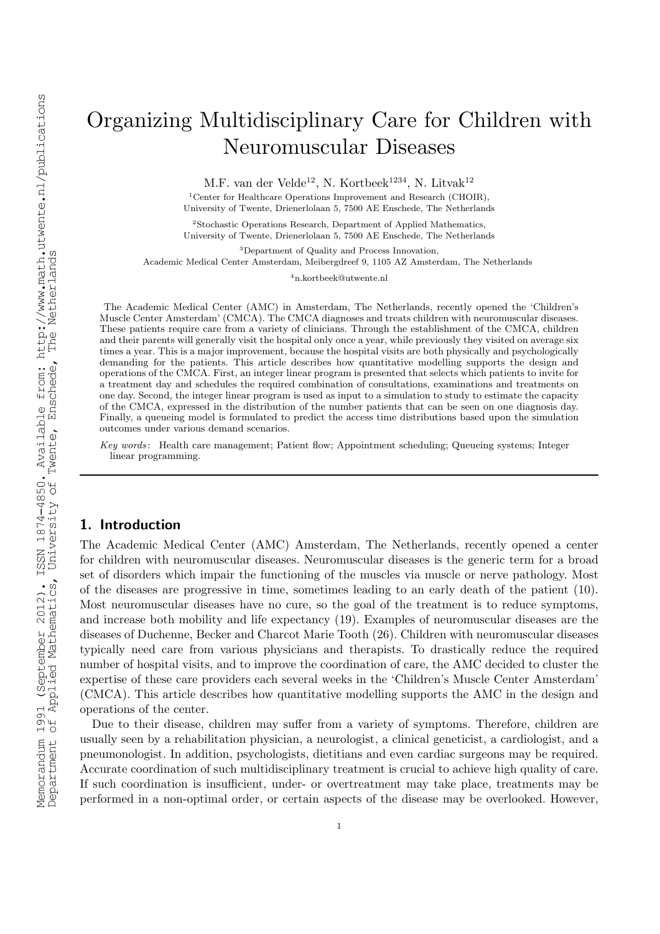# Organizing Multidisciplinary Care for Children with Neuromuscular Diseases

M.F. van der Velde<sup>12</sup>, N. Kortbeek<sup>1234</sup>, N. Litvak<sup>12</sup>

<sup>1</sup>Center for Healthcare Operations Improvement and Research (CHOIR), University of Twente, Drienerlolaan 5, 7500 AE Enschede, The Netherlands

<sup>2</sup>Stochastic Operations Research, Department of Applied Mathematics, University of Twente, Drienerlolaan 5, 7500 AE Enschede, The Netherlands

<sup>3</sup>Department of Quality and Process Innovation,

Academic Medical Center Amsterdam, Meibergdreef 9, 1105 AZ Amsterdam, The Netherlands

<sup>4</sup>n.kortbeek@utwente.nl

The Academic Medical Center (AMC) in Amsterdam, The Netherlands, recently opened the 'Children's Muscle Center Amsterdam' (CMCA). The CMCA diagnoses and treats children with neuromuscular diseases. These patients require care from a variety of clinicians. Through the establishment of the CMCA, children and their parents will generally visit the hospital only once a year, while previously they visited on average six times a year. This is a major improvement, because the hospital visits are both physically and psychologically demanding for the patients. This article describes how quantitative modelling supports the design and operations of the CMCA. First, an integer linear program is presented that selects which patients to invite for a treatment day and schedules the required combination of consultations, examinations and treatments on one day. Second, the integer linear program is used as input to a simulation to study to estimate the capacity of the CMCA, expressed in the distribution of the number patients that can be seen on one diagnosis day. Finally, a queueing model is formulated to predict the access time distributions based upon the simulation outcomes under various demand scenarios.

Key words : Health care management; Patient flow; Appointment scheduling; Queueing systems; Integer linear programming.

# 1. Introduction

The Academic Medical Center (AMC) Amsterdam, The Netherlands, recently opened a center for children with neuromuscular diseases. Neuromuscular diseases is the generic term for a broad set of disorders which impair the functioning of the muscles via muscle or nerve pathology. Most of the diseases are progressive in time, sometimes leading to an early death of the patient (10). Most neuromuscular diseases have no cure, so the goal of the treatment is to reduce symptoms, and increase both mobility and life expectancy (19). Examples of neuromuscular diseases are the diseases of Duchenne, Becker and Charcot Marie Tooth (26). Children with neuromuscular diseases typically need care from various physicians and therapists. To drastically reduce the required number of hospital visits, and to improve the coordination of care, the AMC decided to cluster the expertise of these care providers each several weeks in the 'Children's Muscle Center Amsterdam' (CMCA). This article describes how quantitative modelling supports the AMC in the design and operations of the center.

Due to their disease, children may suffer from a variety of symptoms. Therefore, children are usually seen by a rehabilitation physician, a neurologist, a clinical geneticist, a cardiologist, and a pneumonologist. In addition, psychologists, dietitians and even cardiac surgeons may be required. Accurate coordination of such multidisciplinary treatment is crucial to achieve high quality of care. If such coordination is insufficient, under- or overtreatment may take place, treatments may be performed in a non-optimal order, or certain aspects of the disease may be overlooked. However,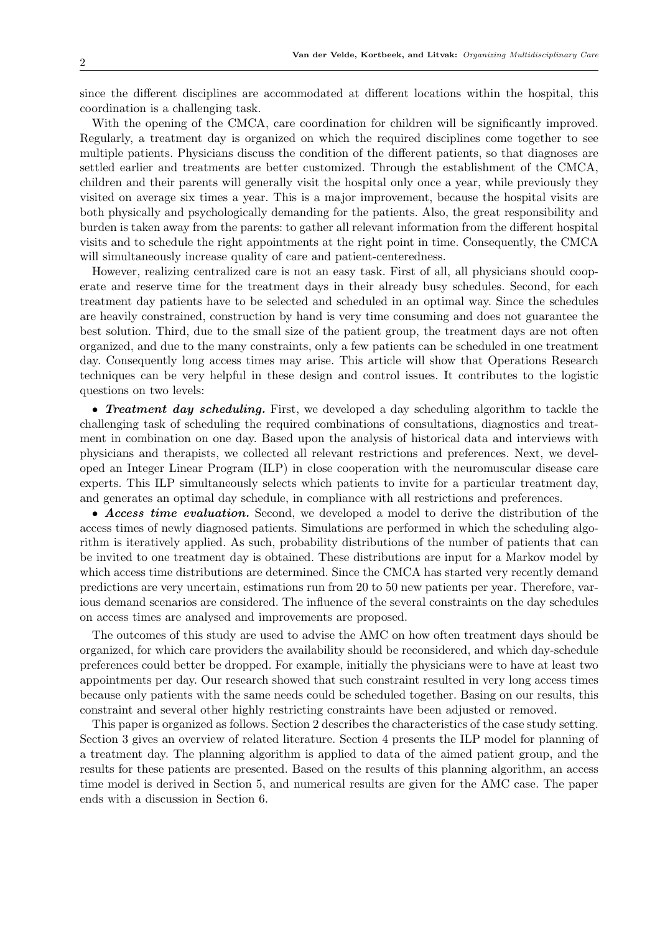since the different disciplines are accommodated at different locations within the hospital, this coordination is a challenging task.

With the opening of the CMCA, care coordination for children will be significantly improved. Regularly, a treatment day is organized on which the required disciplines come together to see multiple patients. Physicians discuss the condition of the different patients, so that diagnoses are settled earlier and treatments are better customized. Through the establishment of the CMCA, children and their parents will generally visit the hospital only once a year, while previously they visited on average six times a year. This is a major improvement, because the hospital visits are both physically and psychologically demanding for the patients. Also, the great responsibility and burden is taken away from the parents: to gather all relevant information from the different hospital visits and to schedule the right appointments at the right point in time. Consequently, the CMCA will simultaneously increase quality of care and patient-centeredness.

However, realizing centralized care is not an easy task. First of all, all physicians should cooperate and reserve time for the treatment days in their already busy schedules. Second, for each treatment day patients have to be selected and scheduled in an optimal way. Since the schedules are heavily constrained, construction by hand is very time consuming and does not guarantee the best solution. Third, due to the small size of the patient group, the treatment days are not often organized, and due to the many constraints, only a few patients can be scheduled in one treatment day. Consequently long access times may arise. This article will show that Operations Research techniques can be very helpful in these design and control issues. It contributes to the logistic questions on two levels:

• Treatment day scheduling. First, we developed a day scheduling algorithm to tackle the challenging task of scheduling the required combinations of consultations, diagnostics and treatment in combination on one day. Based upon the analysis of historical data and interviews with physicians and therapists, we collected all relevant restrictions and preferences. Next, we developed an Integer Linear Program (ILP) in close cooperation with the neuromuscular disease care experts. This ILP simultaneously selects which patients to invite for a particular treatment day, and generates an optimal day schedule, in compliance with all restrictions and preferences.

• Access time evaluation. Second, we developed a model to derive the distribution of the access times of newly diagnosed patients. Simulations are performed in which the scheduling algorithm is iteratively applied. As such, probability distributions of the number of patients that can be invited to one treatment day is obtained. These distributions are input for a Markov model by which access time distributions are determined. Since the CMCA has started very recently demand predictions are very uncertain, estimations run from 20 to 50 new patients per year. Therefore, various demand scenarios are considered. The influence of the several constraints on the day schedules on access times are analysed and improvements are proposed.

The outcomes of this study are used to advise the AMC on how often treatment days should be organized, for which care providers the availability should be reconsidered, and which day-schedule preferences could better be dropped. For example, initially the physicians were to have at least two appointments per day. Our research showed that such constraint resulted in very long access times because only patients with the same needs could be scheduled together. Basing on our results, this constraint and several other highly restricting constraints have been adjusted or removed.

This paper is organized as follows. Section 2 describes the characteristics of the case study setting. Section 3 gives an overview of related literature. Section 4 presents the ILP model for planning of a treatment day. The planning algorithm is applied to data of the aimed patient group, and the results for these patients are presented. Based on the results of this planning algorithm, an access time model is derived in Section 5, and numerical results are given for the AMC case. The paper ends with a discussion in Section 6.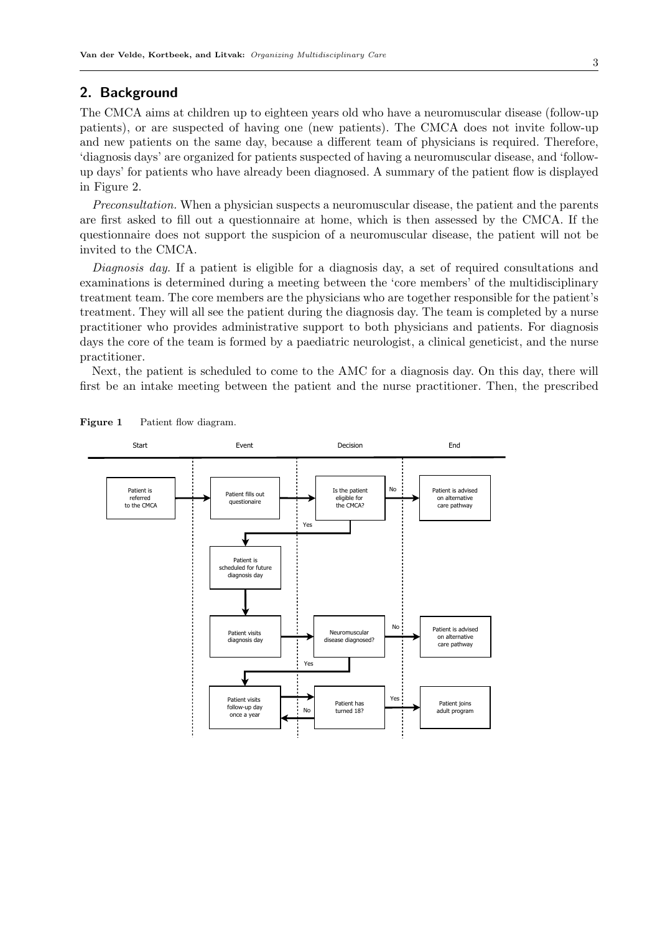# 2. Background

The CMCA aims at children up to eighteen years old who have a neuromuscular disease (follow-up patients), or are suspected of having one (new patients). The CMCA does not invite follow-up and new patients on the same day, because a different team of physicians is required. Therefore, 'diagnosis days' are organized for patients suspected of having a neuromuscular disease, and 'followup days' for patients who have already been diagnosed. A summary of the patient flow is displayed in Figure 2.

*Preconsultation.* When a physician suspects a neuromuscular disease, the patient and the parents are first asked to fill out a questionnaire at home, which is then assessed by the CMCA. If the questionnaire does not support the suspicion of a neuromuscular disease, the patient will not be invited to the CMCA.

*Diagnosis day.* If a patient is eligible for a diagnosis day, a set of required consultations and examinations is determined during a meeting between the 'core members' of the multidisciplinary treatment team. The core members are the physicians who are together responsible for the patient's treatment. They will all see the patient during the diagnosis day. The team is completed by a nurse practitioner who provides administrative support to both physicians and patients. For diagnosis days the core of the team is formed by a paediatric neurologist, a clinical geneticist, and the nurse practitioner.

Next, the patient is scheduled to come to the AMC for a diagnosis day. On this day, there will first be an intake meeting between the patient and the nurse practitioner. Then, the prescribed



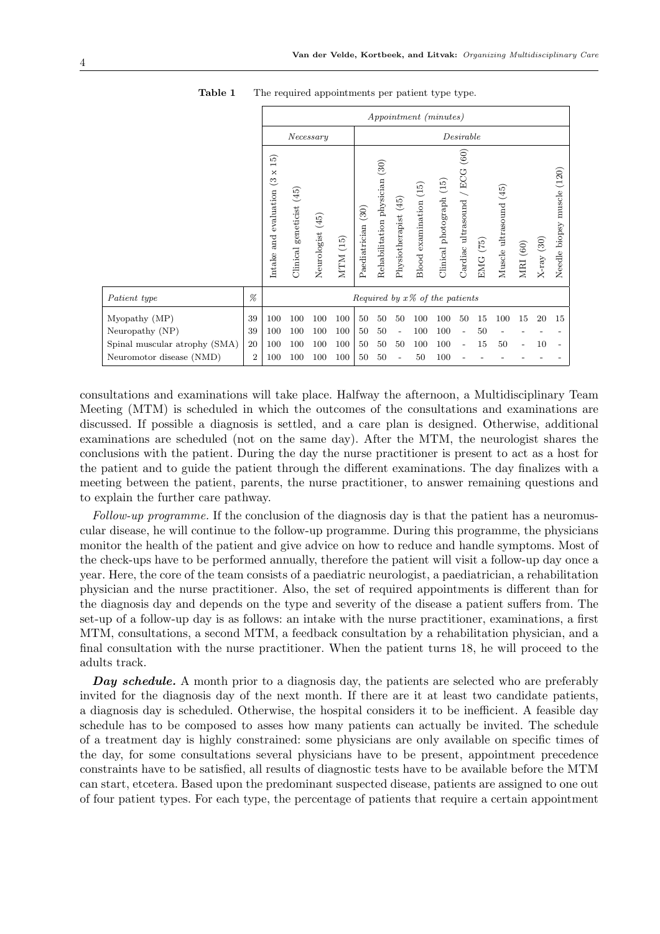|                                            |    |                                                                                 |                                   |                  |             | Appointment (minutes) |                                  |                      |                        |                          |                                     |                    |                        |          |              |                                  |
|--------------------------------------------|----|---------------------------------------------------------------------------------|-----------------------------------|------------------|-------------|-----------------------|----------------------------------|----------------------|------------------------|--------------------------|-------------------------------------|--------------------|------------------------|----------|--------------|----------------------------------|
|                                            |    | Necessary                                                                       |                                   |                  | Desirable   |                       |                                  |                      |                        |                          |                                     |                    |                        |          |              |                                  |
|                                            |    | <u>ಗ್ರ</u><br>$\overline{\phantom{0}}$<br>×<br>ಲ<br>evaluation<br>and<br>Intake | geneticist (45)<br>Clinical       | Neurologist (45) | (15)<br>MTM | (30)<br>Paediatrician | (30)<br>Rehabilitation physician | Physiotherapist (45) | Blood examination (15) | Clinical photograph (15) | (60)<br>/ ECG<br>Cardiac ultrasound | (75)<br><b>EMG</b> | Muscle ultrasound (45) | MRI (60) | $X-ray$ (30) | (120)<br>muscle<br>Needle biopsy |
| Patient type                               | %  |                                                                                 | Required by $x\%$ of the patients |                  |             |                       |                                  |                      |                        |                          |                                     |                    |                        |          |              |                                  |
| Myopathy (MP)                              | 39 | 100                                                                             | 100                               | 100              | 100         | 50                    | 50                               | 50                   | 100                    | 100                      | 50                                  | 15                 | 100                    | 15       | 20           | 15                               |
| Neuropathy (NP)                            | 39 | 100                                                                             | 100                               | 100              | 100         | 50                    | 50                               | $\overline{a}$       | 100                    | 100                      |                                     | 50                 |                        |          |              |                                  |
| Spinal muscular atrophy (SMA)              | 20 | 100                                                                             | 100                               | 100              | 100         | 50                    | 50                               | 50                   | 100                    | 100                      |                                     | 15                 | 50                     |          | 10           |                                  |
| $\overline{2}$<br>Neuromotor disease (NMD) |    | 100                                                                             | 100                               | 100              | 100         | 50                    | 50                               |                      | 50                     | 100                      |                                     |                    |                        |          |              |                                  |

Table 1 The required appointments per patient type type.

consultations and examinations will take place. Halfway the afternoon, a Multidisciplinary Team Meeting (MTM) is scheduled in which the outcomes of the consultations and examinations are discussed. If possible a diagnosis is settled, and a care plan is designed. Otherwise, additional examinations are scheduled (not on the same day). After the MTM, the neurologist shares the conclusions with the patient. During the day the nurse practitioner is present to act as a host for the patient and to guide the patient through the different examinations. The day finalizes with a meeting between the patient, parents, the nurse practitioner, to answer remaining questions and to explain the further care pathway.

*Follow-up programme.* If the conclusion of the diagnosis day is that the patient has a neuromuscular disease, he will continue to the follow-up programme. During this programme, the physicians monitor the health of the patient and give advice on how to reduce and handle symptoms. Most of the check-ups have to be performed annually, therefore the patient will visit a follow-up day once a year. Here, the core of the team consists of a paediatric neurologist, a paediatrician, a rehabilitation physician and the nurse practitioner. Also, the set of required appointments is different than for the diagnosis day and depends on the type and severity of the disease a patient suffers from. The set-up of a follow-up day is as follows: an intake with the nurse practitioner, examinations, a first MTM, consultations, a second MTM, a feedback consultation by a rehabilitation physician, and a final consultation with the nurse practitioner. When the patient turns 18, he will proceed to the adults track.

**Day schedule.** A month prior to a diagnosis day, the patients are selected who are preferably invited for the diagnosis day of the next month. If there are it at least two candidate patients, a diagnosis day is scheduled. Otherwise, the hospital considers it to be inefficient. A feasible day schedule has to be composed to asses how many patients can actually be invited. The schedule of a treatment day is highly constrained: some physicians are only available on specific times of the day, for some consultations several physicians have to be present, appointment precedence constraints have to be satisfied, all results of diagnostic tests have to be available before the MTM can start, etcetera. Based upon the predominant suspected disease, patients are assigned to one out of four patient types. For each type, the percentage of patients that require a certain appointment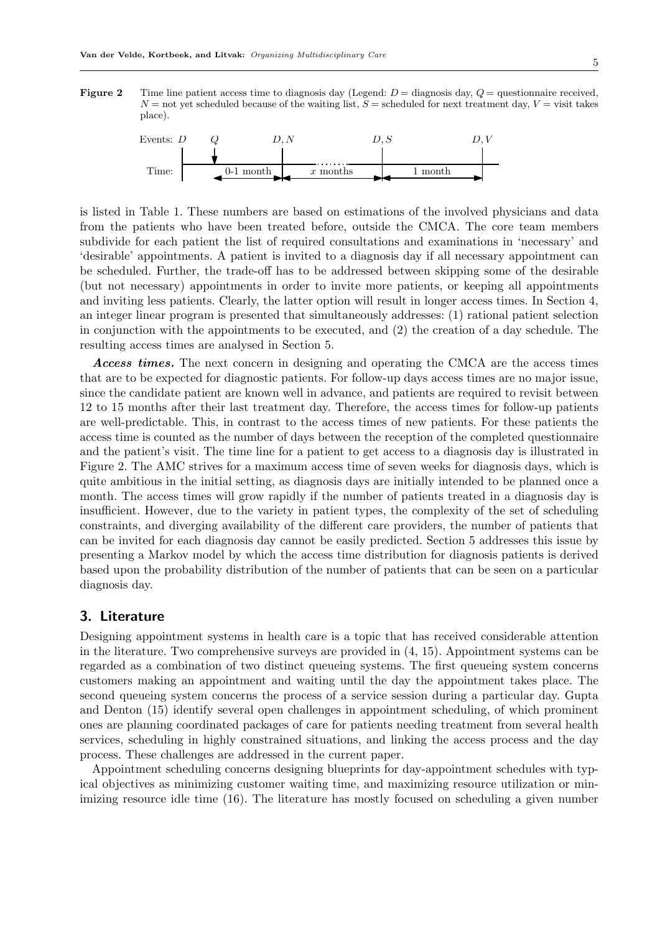**Figure 2** Time line patient access time to diagnosis day (Legend:  $D =$  diagnosis day,  $Q =$  questionnaire received,  $N =$  not yet scheduled because of the waiting list,  $S =$  scheduled for next treatment day,  $V =$  visit takes place).



is listed in Table 1. These numbers are based on estimations of the involved physicians and data from the patients who have been treated before, outside the CMCA. The core team members subdivide for each patient the list of required consultations and examinations in 'necessary' and 'desirable' appointments. A patient is invited to a diagnosis day if all necessary appointment can be scheduled. Further, the trade-off has to be addressed between skipping some of the desirable (but not necessary) appointments in order to invite more patients, or keeping all appointments and inviting less patients. Clearly, the latter option will result in longer access times. In Section 4, an integer linear program is presented that simultaneously addresses: (1) rational patient selection in conjunction with the appointments to be executed, and (2) the creation of a day schedule. The resulting access times are analysed in Section 5.

Access times. The next concern in designing and operating the CMCA are the access times that are to be expected for diagnostic patients. For follow-up days access times are no major issue, since the candidate patient are known well in advance, and patients are required to revisit between 12 to 15 months after their last treatment day. Therefore, the access times for follow-up patients are well-predictable. This, in contrast to the access times of new patients. For these patients the access time is counted as the number of days between the reception of the completed questionnaire and the patient's visit. The time line for a patient to get access to a diagnosis day is illustrated in Figure 2. The AMC strives for a maximum access time of seven weeks for diagnosis days, which is quite ambitious in the initial setting, as diagnosis days are initially intended to be planned once a month. The access times will grow rapidly if the number of patients treated in a diagnosis day is insufficient. However, due to the variety in patient types, the complexity of the set of scheduling constraints, and diverging availability of the different care providers, the number of patients that can be invited for each diagnosis day cannot be easily predicted. Section 5 addresses this issue by presenting a Markov model by which the access time distribution for diagnosis patients is derived based upon the probability distribution of the number of patients that can be seen on a particular diagnosis day.

# 3. Literature

Designing appointment systems in health care is a topic that has received considerable attention in the literature. Two comprehensive surveys are provided in (4, 15). Appointment systems can be regarded as a combination of two distinct queueing systems. The first queueing system concerns customers making an appointment and waiting until the day the appointment takes place. The second queueing system concerns the process of a service session during a particular day. Gupta and Denton (15) identify several open challenges in appointment scheduling, of which prominent ones are planning coordinated packages of care for patients needing treatment from several health services, scheduling in highly constrained situations, and linking the access process and the day process. These challenges are addressed in the current paper.

Appointment scheduling concerns designing blueprints for day-appointment schedules with typical objectives as minimizing customer waiting time, and maximizing resource utilization or minimizing resource idle time (16). The literature has mostly focused on scheduling a given number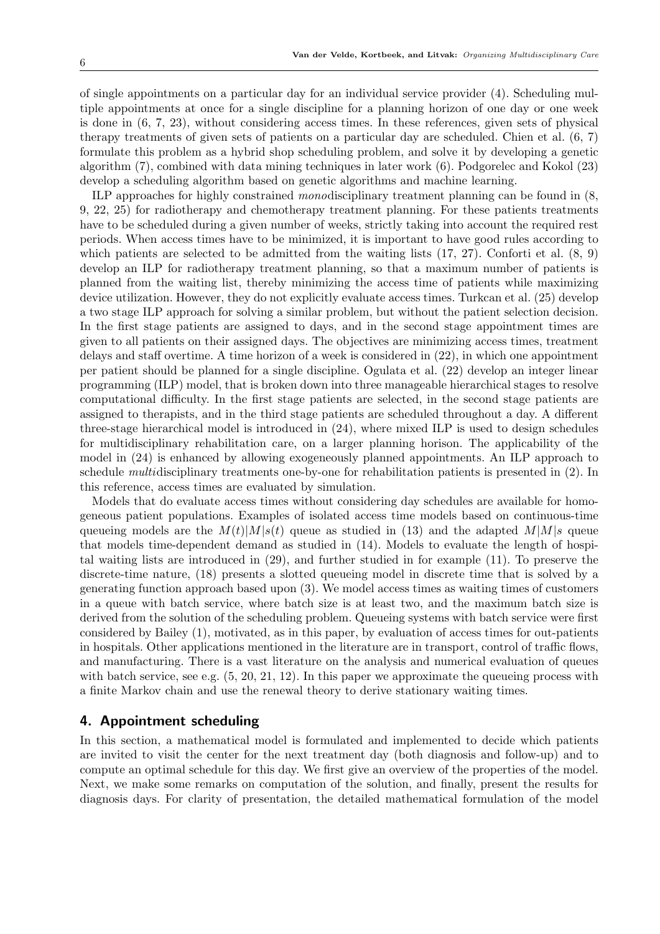of single appointments on a particular day for an individual service provider (4). Scheduling multiple appointments at once for a single discipline for a planning horizon of one day or one week is done in (6, 7, 23), without considering access times. In these references, given sets of physical therapy treatments of given sets of patients on a particular day are scheduled. Chien et al. (6, 7) formulate this problem as a hybrid shop scheduling problem, and solve it by developing a genetic algorithm (7), combined with data mining techniques in later work (6). Podgorelec and Kokol (23) develop a scheduling algorithm based on genetic algorithms and machine learning.

ILP approaches for highly constrained *mono*disciplinary treatment planning can be found in (8, 9, 22, 25) for radiotherapy and chemotherapy treatment planning. For these patients treatments have to be scheduled during a given number of weeks, strictly taking into account the required rest periods. When access times have to be minimized, it is important to have good rules according to which patients are selected to be admitted from the waiting lists  $(17, 27)$ . Conforti et al.  $(8, 9)$ develop an ILP for radiotherapy treatment planning, so that a maximum number of patients is planned from the waiting list, thereby minimizing the access time of patients while maximizing device utilization. However, they do not explicitly evaluate access times. Turkcan et al. (25) develop a two stage ILP approach for solving a similar problem, but without the patient selection decision. In the first stage patients are assigned to days, and in the second stage appointment times are given to all patients on their assigned days. The objectives are minimizing access times, treatment delays and staff overtime. A time horizon of a week is considered in (22), in which one appointment per patient should be planned for a single discipline. Ogulata et al. (22) develop an integer linear programming (ILP) model, that is broken down into three manageable hierarchical stages to resolve computational difficulty. In the first stage patients are selected, in the second stage patients are assigned to therapists, and in the third stage patients are scheduled throughout a day. A different three-stage hierarchical model is introduced in (24), where mixed ILP is used to design schedules for multidisciplinary rehabilitation care, on a larger planning horison. The applicability of the model in (24) is enhanced by allowing exogeneously planned appointments. An ILP approach to schedule *multi*disciplinary treatments one-by-one for rehabilitation patients is presented in (2). In this reference, access times are evaluated by simulation.

Models that do evaluate access times without considering day schedules are available for homogeneous patient populations. Examples of isolated access time models based on continuous-time queueing models are the  $M(t)|M|s(t)$  queue as studied in (13) and the adapted  $M|M|s$  queue that models time-dependent demand as studied in (14). Models to evaluate the length of hospital waiting lists are introduced in (29), and further studied in for example (11). To preserve the discrete-time nature, (18) presents a slotted queueing model in discrete time that is solved by a generating function approach based upon (3). We model access times as waiting times of customers in a queue with batch service, where batch size is at least two, and the maximum batch size is derived from the solution of the scheduling problem. Queueing systems with batch service were first considered by Bailey (1), motivated, as in this paper, by evaluation of access times for out-patients in hospitals. Other applications mentioned in the literature are in transport, control of traffic flows, and manufacturing. There is a vast literature on the analysis and numerical evaluation of queues with batch service, see e.g.  $(5, 20, 21, 12)$ . In this paper we approximate the queueing process with a finite Markov chain and use the renewal theory to derive stationary waiting times.

# 4. Appointment scheduling

In this section, a mathematical model is formulated and implemented to decide which patients are invited to visit the center for the next treatment day (both diagnosis and follow-up) and to compute an optimal schedule for this day. We first give an overview of the properties of the model. Next, we make some remarks on computation of the solution, and finally, present the results for diagnosis days. For clarity of presentation, the detailed mathematical formulation of the model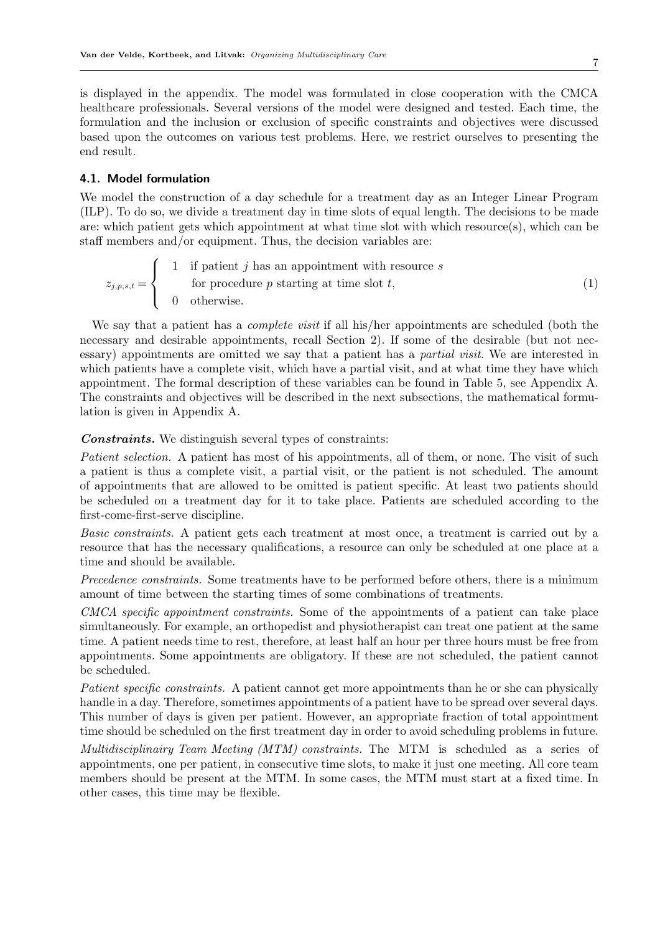is displayed in the appendix. The model was formulated in close cooperation with the CMCA healthcare professionals. Several versions of the model were designed and tested. Each time, the formulation and the inclusion or exclusion of specific constraints and objectives were discussed based upon the outcomes on various test problems. Here, we restrict ourselves to presenting the end result.

## 4.1. Model formulation

We model the construction of a day schedule for a treatment day as an Integer Linear Program (ILP). To do so, we divide a treatment day in time slots of equal length. The decisions to be made are: which patient gets which appointment at what time slot with which resource(s), which can be staff members and/or equipment. Thus, the decision variables are:

$$
z_{j,p,s,t} = \begin{cases} 1 & \text{if patient } j \text{ has an appointment with resource } s \\ & \text{for procedure } p \text{ starting at time slot } t, \\ 0 & \text{otherwise.} \end{cases} \tag{1}
$$

We say that a patient has a *complete visit* if all his/her appointments are scheduled (both the necessary and desirable appointments, recall Section 2). If some of the desirable (but not necessary) appointments are omitted we say that a patient has a *partial visit*. We are interested in which patients have a complete visit, which have a partial visit, and at what time they have which appointment. The formal description of these variables can be found in Table 5, see Appendix A. The constraints and objectives will be described in the next subsections, the mathematical formulation is given in Appendix A.

### **Constraints.** We distinguish several types of constraints:

*Patient selection.* A patient has most of his appointments, all of them, or none. The visit of such a patient is thus a complete visit, a partial visit, or the patient is not scheduled. The amount of appointments that are allowed to be omitted is patient specific. At least two patients should be scheduled on a treatment day for it to take place. Patients are scheduled according to the first-come-first-serve discipline.

*Basic constraints.* A patient gets each treatment at most once, a treatment is carried out by a resource that has the necessary qualifications, a resource can only be scheduled at one place at a time and should be available.

*Precedence constraints.* Some treatments have to be performed before others, there is a minimum amount of time between the starting times of some combinations of treatments.

*CMCA specific appointment constraints.* Some of the appointments of a patient can take place simultaneously. For example, an orthopedist and physiotherapist can treat one patient at the same time. A patient needs time to rest, therefore, at least half an hour per three hours must be free from appointments. Some appointments are obligatory. If these are not scheduled, the patient cannot be scheduled.

*Patient specific constraints.* A patient cannot get more appointments than he or she can physically handle in a day. Therefore, sometimes appointments of a patient have to be spread over several days. This number of days is given per patient. However, an appropriate fraction of total appointment time should be scheduled on the first treatment day in order to avoid scheduling problems in future.

*Multidisciplinairy Team Meeting (MTM) constraints.* The MTM is scheduled as a series of appointments, one per patient, in consecutive time slots, to make it just one meeting. All core team members should be present at the MTM. In some cases, the MTM must start at a fixed time. In other cases, this time may be flexible.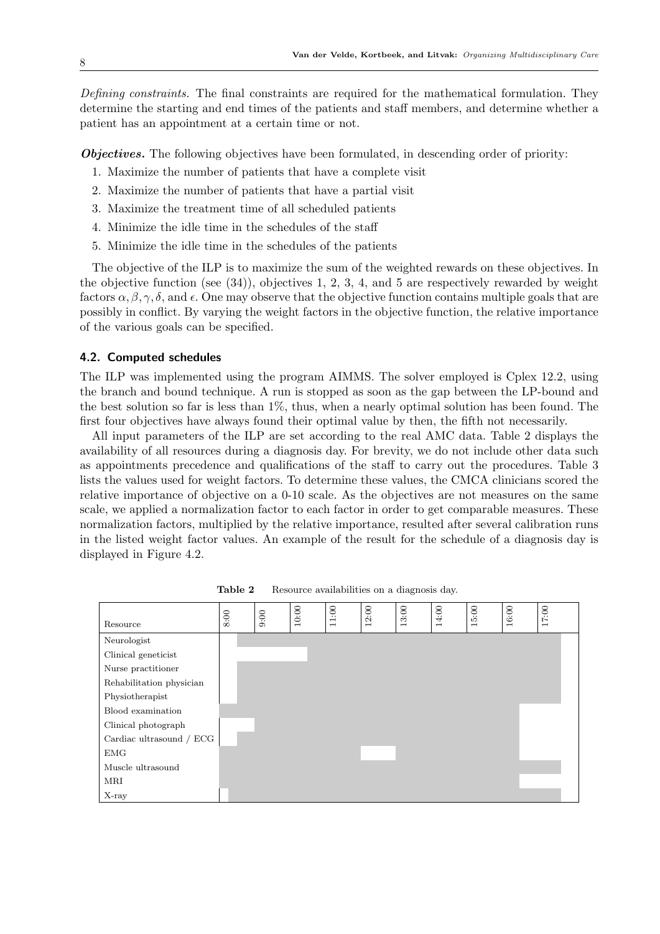*Defining constraints.* The final constraints are required for the mathematical formulation. They determine the starting and end times of the patients and staff members, and determine whether a patient has an appointment at a certain time or not.

Objectives. The following objectives have been formulated, in descending order of priority:

- 1. Maximize the number of patients that have a complete visit
- 2. Maximize the number of patients that have a partial visit
- 3. Maximize the treatment time of all scheduled patients
- 4. Minimize the idle time in the schedules of the staff
- 5. Minimize the idle time in the schedules of the patients

The objective of the ILP is to maximize the sum of the weighted rewards on these objectives. In the objective function (see (34)), objectives 1, 2, 3, 4, and 5 are respectively rewarded by weight factors  $\alpha, \beta, \gamma, \delta$ , and  $\epsilon$ . One may observe that the objective function contains multiple goals that are possibly in conflict. By varying the weight factors in the objective function, the relative importance of the various goals can be specified.

## 4.2. Computed schedules

The ILP was implemented using the program AIMMS. The solver employed is Cplex 12.2, using the branch and bound technique. A run is stopped as soon as the gap between the LP-bound and the best solution so far is less than 1%, thus, when a nearly optimal solution has been found. The first four objectives have always found their optimal value by then, the fifth not necessarily.

All input parameters of the ILP are set according to the real AMC data. Table 2 displays the availability of all resources during a diagnosis day. For brevity, we do not include other data such as appointments precedence and qualifications of the staff to carry out the procedures. Table 3 lists the values used for weight factors. To determine these values, the CMCA clinicians scored the relative importance of objective on a 0-10 scale. As the objectives are not measures on the same scale, we applied a normalization factor to each factor in order to get comparable measures. These normalization factors, multiplied by the relative importance, resulted after several calibration runs in the listed weight factor values. An example of the result for the schedule of a diagnosis day is displayed in Figure 4.2.



Table 2 Resource availabilities on a diagnosis day.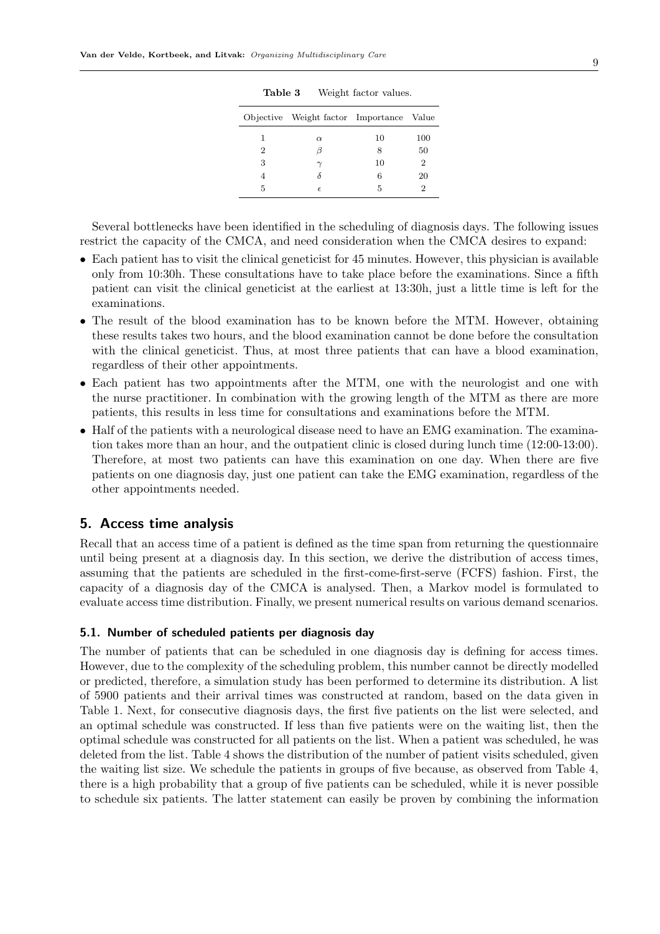|   | Objective Weight factor Importance Value |    |     |
|---|------------------------------------------|----|-----|
|   | $\alpha$                                 | 10 | 100 |
| 2 |                                          | 8  | 50  |
| 3 |                                          | 10 | 2   |
|   | δ                                        | 6  | 20  |
| 5 | $\epsilon$                               | 5  |     |

Table 3 Weight factor values.

Several bottlenecks have been identified in the scheduling of diagnosis days. The following issues restrict the capacity of the CMCA, and need consideration when the CMCA desires to expand:

- Each patient has to visit the clinical geneticist for 45 minutes. However, this physician is available only from 10:30h. These consultations have to take place before the examinations. Since a fifth patient can visit the clinical geneticist at the earliest at 13:30h, just a little time is left for the examinations.
- The result of the blood examination has to be known before the MTM. However, obtaining these results takes two hours, and the blood examination cannot be done before the consultation with the clinical geneticist. Thus, at most three patients that can have a blood examination, regardless of their other appointments.
- Each patient has two appointments after the MTM, one with the neurologist and one with the nurse practitioner. In combination with the growing length of the MTM as there are more patients, this results in less time for consultations and examinations before the MTM.
- Half of the patients with a neurological disease need to have an EMG examination. The examination takes more than an hour, and the outpatient clinic is closed during lunch time (12:00-13:00). Therefore, at most two patients can have this examination on one day. When there are five patients on one diagnosis day, just one patient can take the EMG examination, regardless of the other appointments needed.

# 5. Access time analysis

Recall that an access time of a patient is defined as the time span from returning the questionnaire until being present at a diagnosis day. In this section, we derive the distribution of access times, assuming that the patients are scheduled in the first-come-first-serve (FCFS) fashion. First, the capacity of a diagnosis day of the CMCA is analysed. Then, a Markov model is formulated to evaluate access time distribution. Finally, we present numerical results on various demand scenarios.

#### 5.1. Number of scheduled patients per diagnosis day

The number of patients that can be scheduled in one diagnosis day is defining for access times. However, due to the complexity of the scheduling problem, this number cannot be directly modelled or predicted, therefore, a simulation study has been performed to determine its distribution. A list of 5900 patients and their arrival times was constructed at random, based on the data given in Table 1. Next, for consecutive diagnosis days, the first five patients on the list were selected, and an optimal schedule was constructed. If less than five patients were on the waiting list, then the optimal schedule was constructed for all patients on the list. When a patient was scheduled, he was deleted from the list. Table 4 shows the distribution of the number of patient visits scheduled, given the waiting list size. We schedule the patients in groups of five because, as observed from Table 4, there is a high probability that a group of five patients can be scheduled, while it is never possible to schedule six patients. The latter statement can easily be proven by combining the information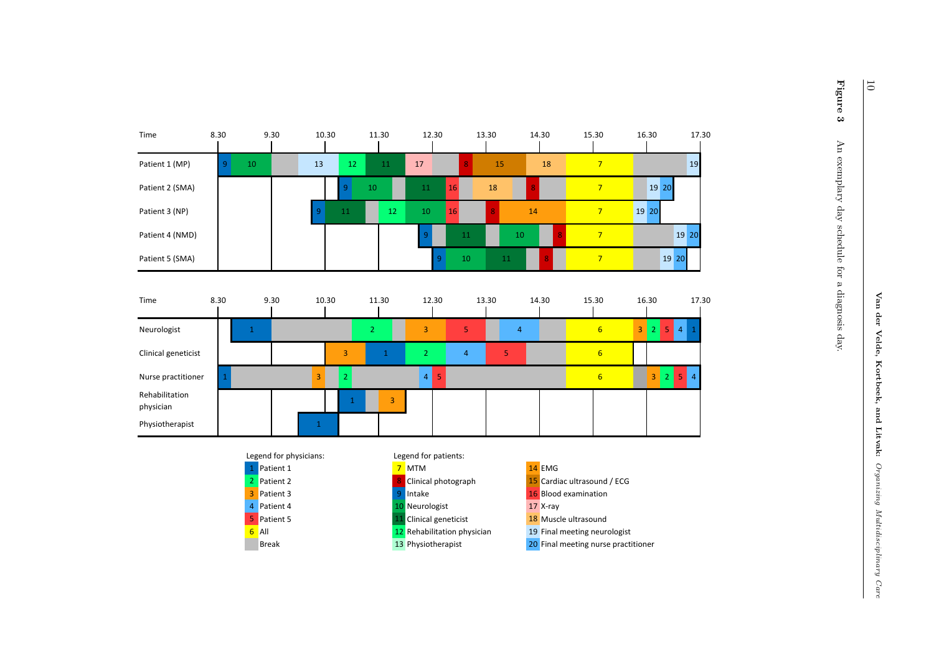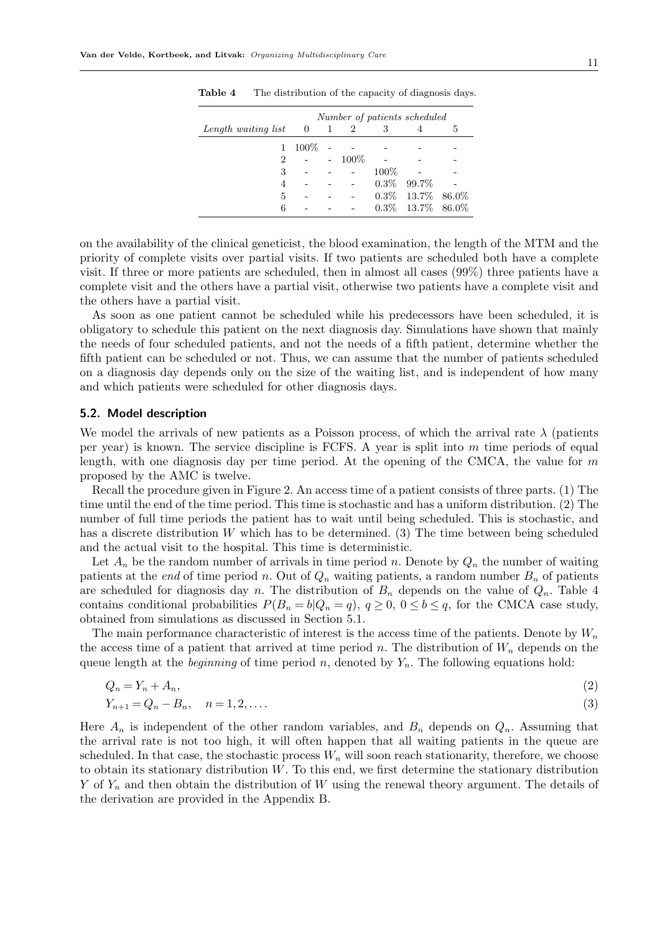|                     | Number of patients scheduled |                          |      |         |                     |   |
|---------------------|------------------------------|--------------------------|------|---------|---------------------|---|
| Length waiting list | $\overline{0}$               | $\overline{\phantom{0}}$ | 2    | 3       |                     | h |
| $\mathbf{1}$        | $100\%$                      |                          |      |         |                     |   |
| $\overline{2}$      |                              | $\omega_{\rm{max}}$      | 100% |         |                     |   |
| 3                   |                              |                          |      | $100\%$ |                     |   |
| 4                   |                              |                          |      | $0.3\%$ | 99.7%               |   |
| 5                   |                              |                          |      | $0.3\%$ | $13.7\%$ 86.0\%     |   |
| 6                   |                              |                          |      |         | $0.3\%$ 13.7% 86.0% |   |

Table 4 The distribution of the capacity of diagnosis days.

on the availability of the clinical geneticist, the blood examination, the length of the MTM and the priority of complete visits over partial visits. If two patients are scheduled both have a complete visit. If three or more patients are scheduled, then in almost all cases (99%) three patients have a complete visit and the others have a partial visit, otherwise two patients have a complete visit and the others have a partial visit.

As soon as one patient cannot be scheduled while his predecessors have been scheduled, it is obligatory to schedule this patient on the next diagnosis day. Simulations have shown that mainly the needs of four scheduled patients, and not the needs of a fifth patient, determine whether the fifth patient can be scheduled or not. Thus, we can assume that the number of patients scheduled on a diagnosis day depends only on the size of the waiting list, and is independent of how many and which patients were scheduled for other diagnosis days.

#### 5.2. Model description

We model the arrivals of new patients as a Poisson process, of which the arrival rate  $\lambda$  (patients per year) is known. The service discipline is FCFS. A year is split into  $m$  time periods of equal length, with one diagnosis day per time period. At the opening of the CMCA, the value for  $m$ proposed by the AMC is twelve.

Recall the procedure given in Figure 2. An access time of a patient consists of three parts. (1) The time until the end of the time period. This time is stochastic and has a uniform distribution. (2) The number of full time periods the patient has to wait until being scheduled. This is stochastic, and has a discrete distribution W which has to be determined. (3) The time between being scheduled and the actual visit to the hospital. This time is deterministic.

Let  $A_n$  be the random number of arrivals in time period n. Denote by  $Q_n$  the number of waiting patients at the *end* of time period n. Out of  $Q_n$  waiting patients, a random number  $B_n$  of patients are scheduled for diagnosis day n. The distribution of  $B_n$  depends on the value of  $Q_n$ . Table 4 contains conditional probabilities  $P(B_n = b|Q_n = q)$ ,  $q \ge 0$ ,  $0 \le b \le q$ , for the CMCA case study, obtained from simulations as discussed in Section 5.1.

The main performance characteristic of interest is the access time of the patients. Denote by  $W_n$ the access time of a patient that arrived at time period n. The distribution of  $W_n$  depends on the queue length at the *beginning* of time period n, denoted by  $Y_n$ . The following equations hold:

$$
Q_n = Y_n + A_n,\tag{2}
$$

$$
Y_{n+1} = Q_n - B_n, \quad n = 1, 2, \dots
$$
\n(3)

Here  $A_n$  is independent of the other random variables, and  $B_n$  depends on  $Q_n$ . Assuming that the arrival rate is not too high, it will often happen that all waiting patients in the queue are scheduled. In that case, the stochastic process  $W_n$  will soon reach stationarity, therefore, we choose to obtain its stationary distribution  $W$ . To this end, we first determine the stationary distribution Y of  $Y_n$  and then obtain the distribution of W using the renewal theory argument. The details of the derivation are provided in the Appendix B.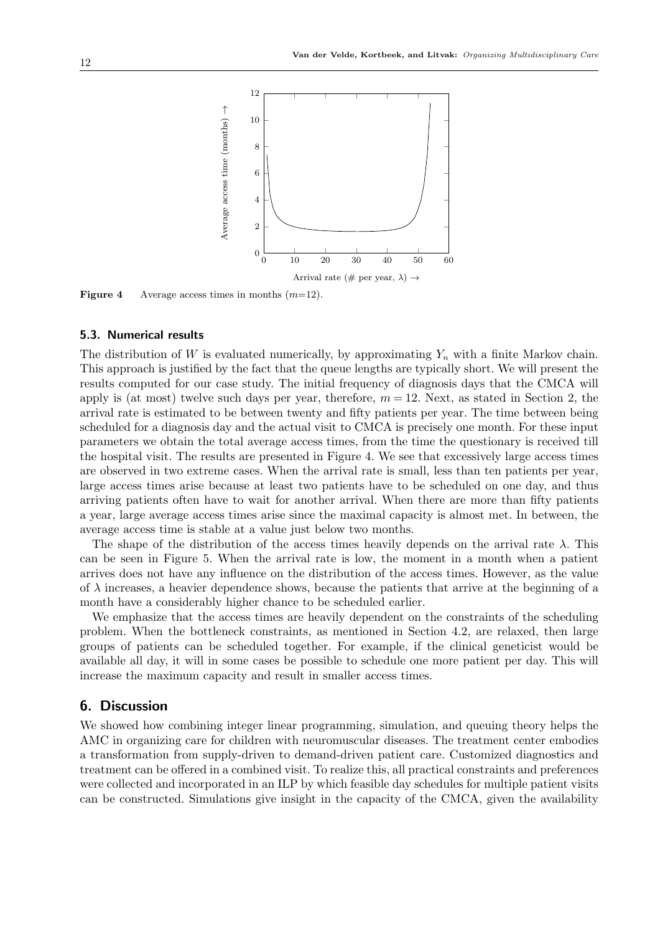

**Figure 4** Average access times in months  $(m=12)$ .

#### 5.3. Numerical results

The distribution of W is evaluated numerically, by approximating  $Y_n$  with a finite Markov chain. This approach is justified by the fact that the queue lengths are typically short. We will present the results computed for our case study. The initial frequency of diagnosis days that the CMCA will apply is (at most) twelve such days per year, therefore,  $m = 12$ . Next, as stated in Section 2, the arrival rate is estimated to be between twenty and fifty patients per year. The time between being scheduled for a diagnosis day and the actual visit to CMCA is precisely one month. For these input parameters we obtain the total average access times, from the time the questionary is received till the hospital visit. The results are presented in Figure 4. We see that excessively large access times are observed in two extreme cases. When the arrival rate is small, less than ten patients per year, large access times arise because at least two patients have to be scheduled on one day, and thus arriving patients often have to wait for another arrival. When there are more than fifty patients a year, large average access times arise since the maximal capacity is almost met. In between, the average access time is stable at a value just below two months.

The shape of the distribution of the access times heavily depends on the arrival rate  $\lambda$ . This can be seen in Figure 5. When the arrival rate is low, the moment in a month when a patient arrives does not have any influence on the distribution of the access times. However, as the value of  $\lambda$  increases, a heavier dependence shows, because the patients that arrive at the beginning of a month have a considerably higher chance to be scheduled earlier.

We emphasize that the access times are heavily dependent on the constraints of the scheduling problem. When the bottleneck constraints, as mentioned in Section 4.2, are relaxed, then large groups of patients can be scheduled together. For example, if the clinical geneticist would be available all day, it will in some cases be possible to schedule one more patient per day. This will increase the maximum capacity and result in smaller access times.

# 6. Discussion

We showed how combining integer linear programming, simulation, and queuing theory helps the AMC in organizing care for children with neuromuscular diseases. The treatment center embodies a transformation from supply-driven to demand-driven patient care. Customized diagnostics and treatment can be offered in a combined visit. To realize this, all practical constraints and preferences were collected and incorporated in an ILP by which feasible day schedules for multiple patient visits can be constructed. Simulations give insight in the capacity of the CMCA, given the availability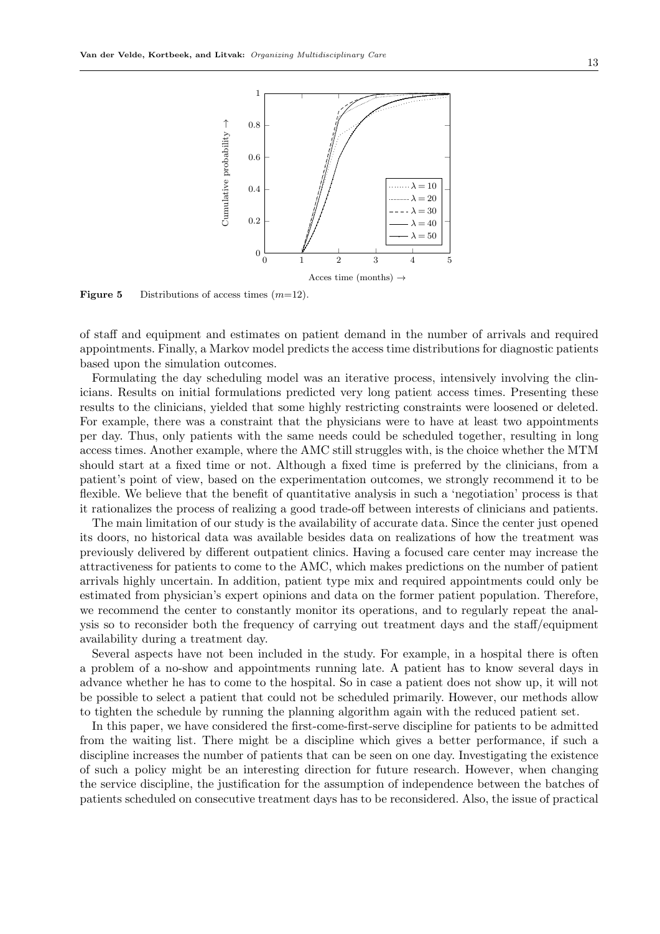

**Figure 5** Distributions of access times  $(m=12)$ .

of staff and equipment and estimates on patient demand in the number of arrivals and required appointments. Finally, a Markov model predicts the access time distributions for diagnostic patients based upon the simulation outcomes.

Formulating the day scheduling model was an iterative process, intensively involving the clinicians. Results on initial formulations predicted very long patient access times. Presenting these results to the clinicians, yielded that some highly restricting constraints were loosened or deleted. For example, there was a constraint that the physicians were to have at least two appointments per day. Thus, only patients with the same needs could be scheduled together, resulting in long access times. Another example, where the AMC still struggles with, is the choice whether the MTM should start at a fixed time or not. Although a fixed time is preferred by the clinicians, from a patient's point of view, based on the experimentation outcomes, we strongly recommend it to be flexible. We believe that the benefit of quantitative analysis in such a 'negotiation' process is that it rationalizes the process of realizing a good trade-off between interests of clinicians and patients.

The main limitation of our study is the availability of accurate data. Since the center just opened its doors, no historical data was available besides data on realizations of how the treatment was previously delivered by different outpatient clinics. Having a focused care center may increase the attractiveness for patients to come to the AMC, which makes predictions on the number of patient arrivals highly uncertain. In addition, patient type mix and required appointments could only be estimated from physician's expert opinions and data on the former patient population. Therefore, we recommend the center to constantly monitor its operations, and to regularly repeat the analysis so to reconsider both the frequency of carrying out treatment days and the staff/equipment availability during a treatment day.

Several aspects have not been included in the study. For example, in a hospital there is often a problem of a no-show and appointments running late. A patient has to know several days in advance whether he has to come to the hospital. So in case a patient does not show up, it will not be possible to select a patient that could not be scheduled primarily. However, our methods allow to tighten the schedule by running the planning algorithm again with the reduced patient set.

In this paper, we have considered the first-come-first-serve discipline for patients to be admitted from the waiting list. There might be a discipline which gives a better performance, if such a discipline increases the number of patients that can be seen on one day. Investigating the existence of such a policy might be an interesting direction for future research. However, when changing the service discipline, the justification for the assumption of independence between the batches of patients scheduled on consecutive treatment days has to be reconsidered. Also, the issue of practical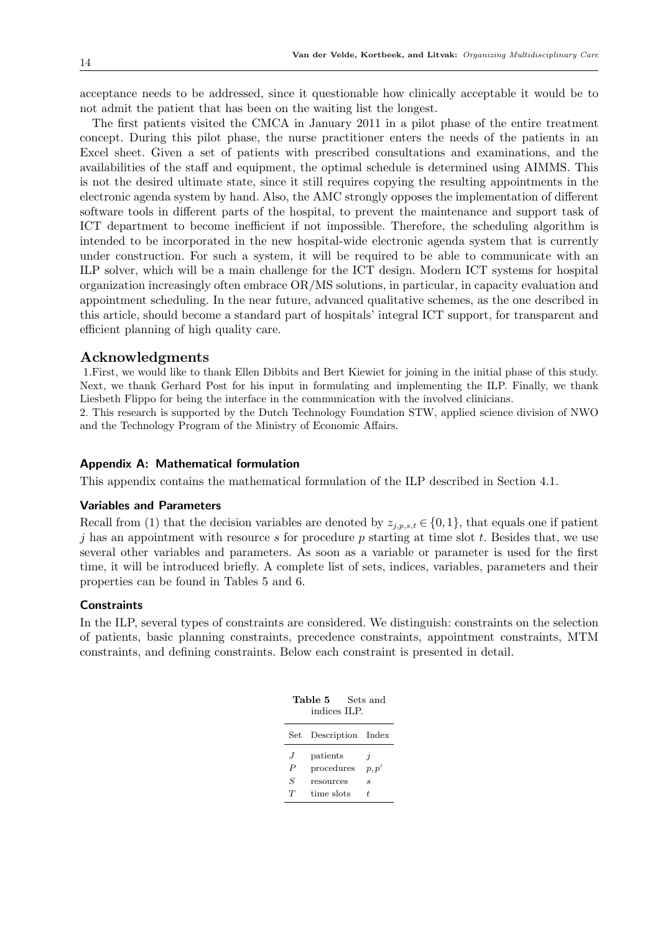acceptance needs to be addressed, since it questionable how clinically acceptable it would be to not admit the patient that has been on the waiting list the longest.

The first patients visited the CMCA in January 2011 in a pilot phase of the entire treatment concept. During this pilot phase, the nurse practitioner enters the needs of the patients in an Excel sheet. Given a set of patients with prescribed consultations and examinations, and the availabilities of the staff and equipment, the optimal schedule is determined using AIMMS. This is not the desired ultimate state, since it still requires copying the resulting appointments in the electronic agenda system by hand. Also, the AMC strongly opposes the implementation of different software tools in different parts of the hospital, to prevent the maintenance and support task of ICT department to become inefficient if not impossible. Therefore, the scheduling algorithm is intended to be incorporated in the new hospital-wide electronic agenda system that is currently under construction. For such a system, it will be required to be able to communicate with an ILP solver, which will be a main challenge for the ICT design. Modern ICT systems for hospital organization increasingly often embrace OR/MS solutions, in particular, in capacity evaluation and appointment scheduling. In the near future, advanced qualitative schemes, as the one described in this article, should become a standard part of hospitals' integral ICT support, for transparent and efficient planning of high quality care.

## Acknowledgments

1.First, we would like to thank Ellen Dibbits and Bert Kiewiet for joining in the initial phase of this study. Next, we thank Gerhard Post for his input in formulating and implementing the ILP. Finally, we thank Liesbeth Flippo for being the interface in the communication with the involved clinicians.

2. This research is supported by the Dutch Technology Foundation STW, applied science division of NWO and the Technology Program of the Ministry of Economic Affairs.

#### Appendix A: Mathematical formulation

This appendix contains the mathematical formulation of the ILP described in Section 4.1.

#### Variables and Parameters

Recall from (1) that the decision variables are denoted by  $z_{j,p,s,t} \in \{0,1\}$ , that equals one if patient j has an appointment with resource s for procedure p starting at time slot t. Besides that, we use several other variables and parameters. As soon as a variable or parameter is used for the first time, it will be introduced briefly. A complete list of sets, indices, variables, parameters and their properties can be found in Tables 5 and 6.

## **Constraints**

In the ILP, several types of constraints are considered. We distinguish: constraints on the selection of patients, basic planning constraints, precedence constraints, appointment constraints, MTM constraints, and defining constraints. Below each constraint is presented in detail.

| Table 5<br>Sets and<br>indices ILP. |                                                   |                                        |  |  |  |
|-------------------------------------|---------------------------------------------------|----------------------------------------|--|--|--|
| $\operatorname{Set}$                | Description Index                                 |                                        |  |  |  |
| $\cdot$ I<br>P<br>S<br>T            | patients<br>procedures<br>resources<br>time slots | $\boldsymbol{\eta}$<br>p, p'<br>S<br>Ŧ |  |  |  |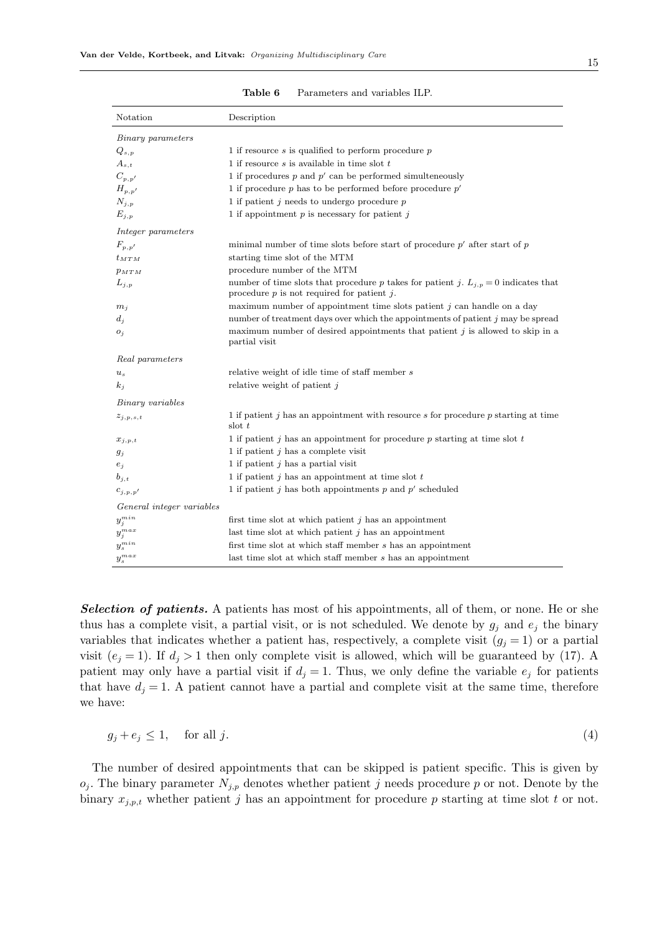| Notation                         | Description                                                                                                                                |
|----------------------------------|--------------------------------------------------------------------------------------------------------------------------------------------|
| Binary parameters                |                                                                                                                                            |
| $Q_{s,p}$                        | 1 if resource $s$ is qualified to perform procedure $p$                                                                                    |
| $A_{s,t}$                        | 1 if resource $s$ is available in time slot $t$                                                                                            |
| $C_{p,p'}$                       | 1 if procedures $p$ and $p'$ can be performed simulteneously                                                                               |
| $H_{p,p'}$                       | 1 if procedure $p$ has to be performed before procedure $p'$                                                                               |
| $N_{j,p}$                        | 1 if patient $j$ needs to undergo procedure $p$                                                                                            |
| $E_{j,p}$                        | 1 if appointment $p$ is necessary for patient $j$                                                                                          |
| Integer parameters               |                                                                                                                                            |
| $F_{p,p^{\prime}}$               | minimal number of time slots before start of procedure $p'$ after start of $p$                                                             |
| $t_{MTM}$                        | starting time slot of the MTM                                                                                                              |
| $p_{MTM}$                        | procedure number of the MTM                                                                                                                |
| $L_{j,p}$                        | number of time slots that procedure p takes for patient j. $L_{j,p} = 0$ indicates that<br>procedure $p$ is not required for patient $j$ . |
| $m_i$                            | maximum number of appointment time slots patient $j$ can handle on a day                                                                   |
| $d_i$                            | number of treatment days over which the appointments of patient j may be spread                                                            |
| $O_j$                            | maximum number of desired appointments that patient $j$ is allowed to skip in a<br>partial visit                                           |
| Real parameters                  |                                                                                                                                            |
| $u_s$                            | relative weight of idle time of staff member s                                                                                             |
| $k_i$                            | relative weight of patient $j$                                                                                                             |
| Binary variables                 |                                                                                                                                            |
| $z_{j,p,s,t}$                    | 1 if patient $j$ has an appointment with resource $s$ for procedure $p$ starting at time<br>slot $t$                                       |
| $x_{j,p,t}$                      | 1 if patient j has an appointment for procedure p starting at time slot $t$                                                                |
| $g_j$                            | 1 if patient $j$ has a complete visit                                                                                                      |
| $e_j$                            | 1 if patient $j$ has a partial visit                                                                                                       |
| $b_{j,t}$                        | 1 if patient $j$ has an appointment at time slot $t$                                                                                       |
| $c_{i,p,p'}$                     | 1 if patient j has both appointments $p$ and $p'$ scheduled                                                                                |
| General integer variables        |                                                                                                                                            |
| $y_j^{min}$                      | first time slot at which patient $j$ has an appointment                                                                                    |
| $y_j^{max}$                      | last time slot at which patient $j$ has an appointment                                                                                     |
| $y_s^{min}$                      | first time slot at which staff member s has an appointment                                                                                 |
| $y_{\scriptscriptstyle s}^{max}$ | last time slot at which staff member s has an appointment                                                                                  |

Table 6 Parameters and variables ILP.

**Selection of patients.** A patients has most of his appointments, all of them, or none. He or she thus has a complete visit, a partial visit, or is not scheduled. We denote by  $g_j$  and  $e_j$  the binary variables that indicates whether a patient has, respectively, a complete visit  $(g_j = 1)$  or a partial visit  $(e_j = 1)$ . If  $d_j > 1$  then only complete visit is allowed, which will be guaranteed by (17). A patient may only have a partial visit if  $d_j = 1$ . Thus, we only define the variable  $e_j$  for patients that have  $d_j = 1$ . A patient cannot have a partial and complete visit at the same time, therefore we have:

$$
g_j + e_j \le 1, \quad \text{for all } j. \tag{4}
$$

The number of desired appointments that can be skipped is patient specific. This is given by  $o_j$ . The binary parameter  $N_{j,p}$  denotes whether patient j needs procedure p or not. Denote by the binary  $x_{j,p,t}$  whether patient j has an appointment for procedure p starting at time slot t or not.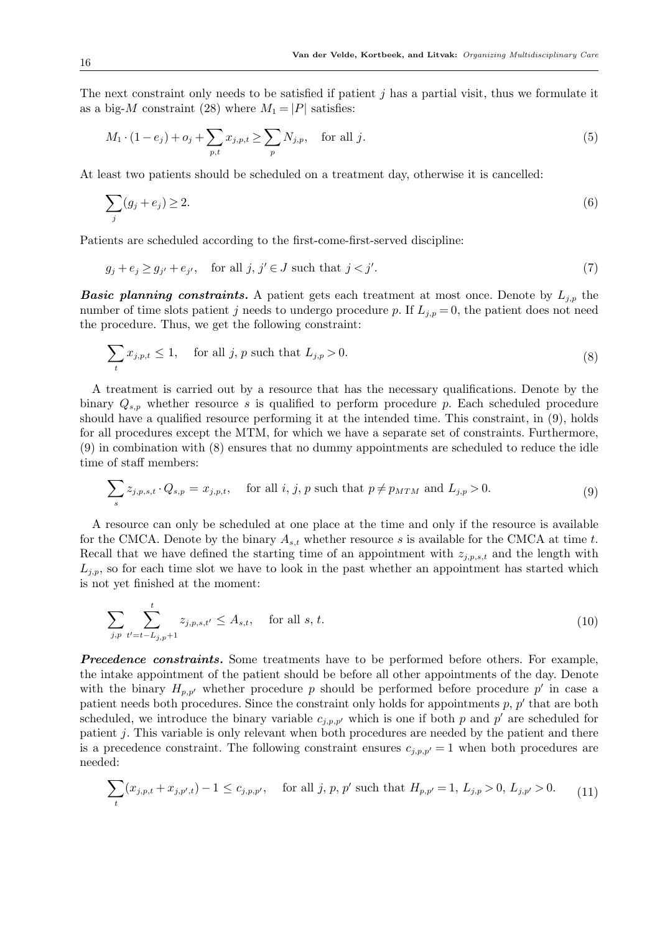The next constraint only needs to be satisfied if patient  $j$  has a partial visit, thus we formulate it as a big-M constraint (28) where  $M_1 = |P|$  satisfies:

$$
M_1 \cdot (1 - e_j) + o_j + \sum_{p,t} x_{j,p,t} \ge \sum_p N_{j,p}, \quad \text{for all } j.
$$
 (5)

At least two patients should be scheduled on a treatment day, otherwise it is cancelled:

$$
\sum_{j}(g_j + e_j) \ge 2. \tag{6}
$$

Patients are scheduled according to the first-come-first-served discipline:

$$
g_j + e_j \ge g_{j'} + e_{j'}, \quad \text{for all } j, j' \in J \text{ such that } j < j'. \tag{7}
$$

**Basic planning constraints.** A patient gets each treatment at most once. Denote by  $L_{j,p}$  the number of time slots patient j needs to undergo procedure p. If  $L_{i,p} = 0$ , the patient does not need the procedure. Thus, we get the following constraint:

$$
\sum_{t} x_{j,p,t} \le 1, \quad \text{for all } j, p \text{ such that } L_{j,p} > 0. \tag{8}
$$

A treatment is carried out by a resource that has the necessary qualifications. Denote by the binary  $Q_{s,p}$  whether resource s is qualified to perform procedure p. Each scheduled procedure should have a qualified resource performing it at the intended time. This constraint, in (9), holds for all procedures except the MTM, for which we have a separate set of constraints. Furthermore, (9) in combination with (8) ensures that no dummy appointments are scheduled to reduce the idle time of staff members:

$$
\sum_{s} z_{j,p,s,t} \cdot Q_{s,p} = x_{j,p,t}, \quad \text{for all } i, j, p \text{ such that } p \neq p_{MTM} \text{ and } L_{j,p} > 0.
$$
 (9)

A resource can only be scheduled at one place at the time and only if the resource is available for the CMCA. Denote by the binary  $A_{s,t}$  whether resource s is available for the CMCA at time t. Recall that we have defined the starting time of an appointment with  $z_{j,p,s,t}$  and the length with  $L_{j,p}$ , so for each time slot we have to look in the past whether an appointment has started which is not yet finished at the moment:

$$
\sum_{j,p} \sum_{t'=t-L_{j,p}+1}^{t} z_{j,p,s,t'} \le A_{s,t}, \quad \text{for all } s, t.
$$
 (10)

**Precedence constraints.** Some treatments have to be performed before others. For example, the intake appointment of the patient should be before all other appointments of the day. Denote with the binary  $H_{p,p'}$  whether procedure p should be performed before procedure p' in case a patient needs both procedures. Since the constraint only holds for appointments  $p, p'$  that are both scheduled, we introduce the binary variable  $c_{j,p,p'}$  which is one if both p and p' are scheduled for patient  $j$ . This variable is only relevant when both procedures are needed by the patient and there is a precedence constraint. The following constraint ensures  $c_{i,p,p'} = 1$  when both procedures are needed:

$$
\sum_{t} (x_{j,p,t} + x_{j,p',t}) - 1 \le c_{j,p,p'}, \quad \text{for all } j, p, p' \text{ such that } H_{p,p'} = 1, L_{j,p} > 0, L_{j,p'} > 0. \tag{11}
$$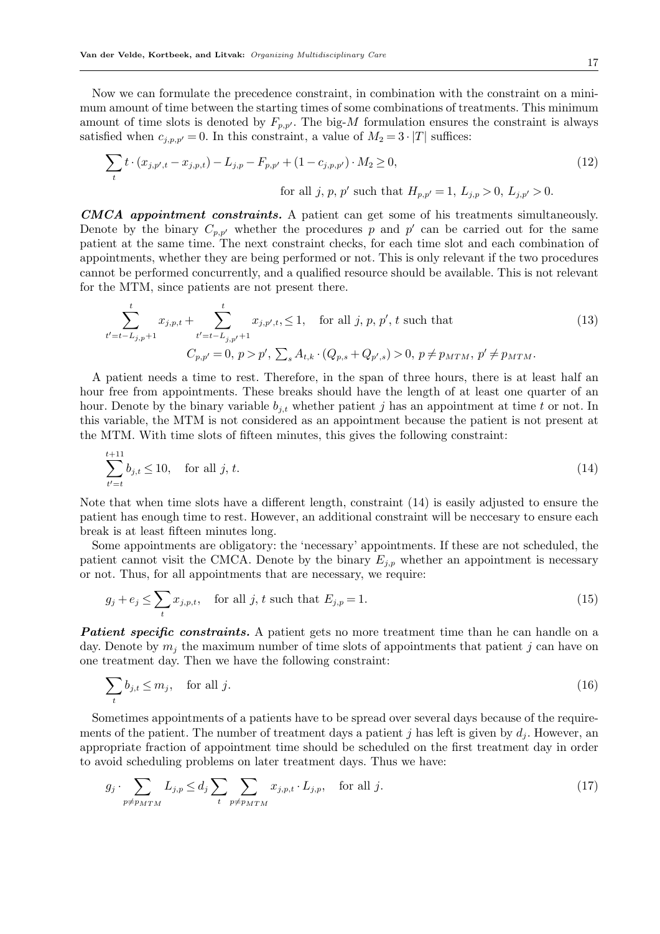Now we can formulate the precedence constraint, in combination with the constraint on a minimum amount of time between the starting times of some combinations of treatments. This minimum amount of time slots is denoted by  $F_{p,p'}$ . The big-M formulation ensures the constraint is always satisfied when  $c_{j,p,p'} = 0$ . In this constraint, a value of  $M_2 = 3 \cdot |T|$  suffices:

$$
\sum_{t} t \cdot (x_{j,p',t} - x_{j,p,t}) - L_{j,p} - F_{p,p'} + (1 - c_{j,p,p'}) \cdot M_2 \ge 0,
$$
\n
$$
\text{for all } j, p, p' \text{ such that } H_{p,p'} = 1, L_{j,p} > 0, L_{j,p'} > 0.
$$
\n
$$
(12)
$$

CMCA appointment constraints. A patient can get some of his treatments simultaneously. Denote by the binary  $C_{p,p'}$  whether the procedures p and p' can be carried out for the same patient at the same time. The next constraint checks, for each time slot and each combination of appointments, whether they are being performed or not. This is only relevant if the two procedures cannot be performed concurrently, and a qualified resource should be available. This is not relevant for the MTM, since patients are not present there.

$$
\sum_{t'=t-L_{j,p}+1}^{t} x_{j,p,t} + \sum_{t'=t-L_{j,p'}+1}^{t} x_{j,p',t} \le 1, \quad \text{for all } j, p, p', t \text{ such that } (13)
$$
  

$$
C_{p,p'} = 0, p > p', \sum_{s} A_{t,k} \cdot (Q_{p,s} + Q_{p',s}) > 0, p \ne p_{MTM}, p' \ne p_{MTM}.
$$

A patient needs a time to rest. Therefore, in the span of three hours, there is at least half an hour free from appointments. These breaks should have the length of at least one quarter of an hour. Denote by the binary variable  $b_{i,t}$  whether patient j has an appointment at time t or not. In this variable, the MTM is not considered as an appointment because the patient is not present at the MTM. With time slots of fifteen minutes, this gives the following constraint:

$$
\sum_{t'=t}^{t+11} b_{j,t} \le 10, \quad \text{for all } j, t. \tag{14}
$$

Note that when time slots have a different length, constraint (14) is easily adjusted to ensure the patient has enough time to rest. However, an additional constraint will be neccesary to ensure each break is at least fifteen minutes long.

Some appointments are obligatory: the 'necessary' appointments. If these are not scheduled, the patient cannot visit the CMCA. Denote by the binary  $E_{j,p}$  whether an appointment is necessary or not. Thus, for all appointments that are necessary, we require:

$$
g_j + e_j \le \sum_t x_{j,p,t}, \quad \text{for all } j, t \text{ such that } E_{j,p} = 1. \tag{15}
$$

**Patient specific constraints.** A patient gets no more treatment time than he can handle on a day. Denote by  $m_i$  the maximum number of time slots of appointments that patient j can have on one treatment day. Then we have the following constraint:

$$
\sum_{t} b_{j,t} \le m_j, \quad \text{for all } j. \tag{16}
$$

Sometimes appointments of a patients have to be spread over several days because of the requirements of the patient. The number of treatment days a patient j has left is given by  $d_i$ . However, an appropriate fraction of appointment time should be scheduled on the first treatment day in order to avoid scheduling problems on later treatment days. Thus we have:

$$
g_j \cdot \sum_{p \neq p_{MTM}} L_{j,p} \le d_j \sum_t \sum_{p \neq p_{MTM}} x_{j,p,t} \cdot L_{j,p}, \quad \text{for all } j.
$$
 (17)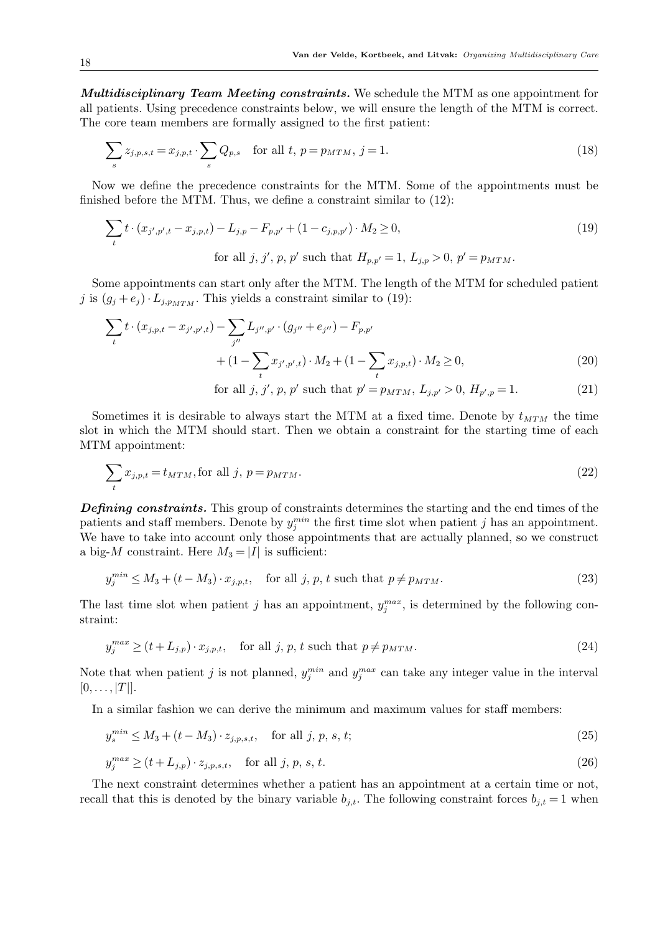Multidisciplinary Team Meeting constraints. We schedule the MTM as one appointment for all patients. Using precedence constraints below, we will ensure the length of the MTM is correct. The core team members are formally assigned to the first patient:

$$
\sum_{s} z_{j,p,s,t} = x_{j,p,t} \cdot \sum_{s} Q_{p,s} \quad \text{for all } t, \ p = p_{MTM}, \ j = 1.
$$
 (18)

Now we define the precedence constraints for the MTM. Some of the appointments must be finished before the MTM. Thus, we define a constraint similar to (12):

$$
\sum_{t} t \cdot (x_{j',p',t} - x_{j,p,t}) - L_{j,p} - F_{p,p'} + (1 - c_{j,p,p'}) \cdot M_2 \ge 0,
$$
  
for all  $j, j', p, p'$  such that  $H_{p,p'} = 1, L_{j,p} > 0, p' = p_{MTM}.$  (19)

Some appointments can start only after the MTM. The length of the MTM for scheduled patient j is  $(g_j + e_j) \cdot L_{j,p_{MTM}}$ . This yields a constraint similar to (19):

$$
\sum_{t} t \cdot (x_{j,p,t} - x_{j',p',t}) - \sum_{j''} L_{j'',p'} \cdot (g_{j''} + e_{j''}) - F_{p,p'} + (1 - \sum_{t} x_{j',p',t}) \cdot M_2 + (1 - \sum_{t} x_{j,p,t}) \cdot M_2 \ge 0,
$$
\n(20)

for all 
$$
j, j', p, p'
$$
 such that  $p' = p_{MTM}, L_{j,p'} > 0, H_{p',p} = 1.$  (21)

Sometimes it is desirable to always start the MTM at a fixed time. Denote by  $t_{MTM}$  the time slot in which the MTM should start. Then we obtain a constraint for the starting time of each MTM appointment:

$$
\sum_{t} x_{j,p,t} = t_{MTM}, \text{for all } j, p = p_{MTM}.
$$
\n
$$
(22)
$$

Defining constraints. This group of constraints determines the starting and the end times of the patients and staff members. Denote by  $y_j^{min}$  the first time slot when patient j has an appointment. We have to take into account only those appointments that are actually planned, so we construct a big-M constraint. Here  $M_3 = |I|$  is sufficient:

$$
y_j^{min} \le M_3 + (t - M_3) \cdot x_{j, p, t}, \quad \text{for all } j, p, t \text{ such that } p \ne p_{MTM}.
$$
 (23)

The last time slot when patient j has an appointment,  $y_j^{max}$ , is determined by the following constraint:

$$
y_j^{max} \ge (t + L_{j,p}) \cdot x_{j,p,t}, \quad \text{for all } j, p, t \text{ such that } p \ne p_{MTM}.
$$
 (24)

Note that when patient j is not planned,  $y_j^{min}$  and  $y_j^{max}$  can take any integer value in the interval  $[0, \ldots, |T|].$ 

In a similar fashion we can derive the minimum and maximum values for staff members:

$$
y_s^{min} \le M_3 + (t - M_3) \cdot z_{j, p, s, t}, \quad \text{for all } j, p, s, t;
$$
 (25)

$$
y_j^{max} \ge (t + L_{j,p}) \cdot z_{j,p,s,t}, \quad \text{for all } j, p, s, t. \tag{26}
$$

The next constraint determines whether a patient has an appointment at a certain time or not, recall that this is denoted by the binary variable  $b_{i,t}$ . The following constraint forces  $b_{i,t} = 1$  when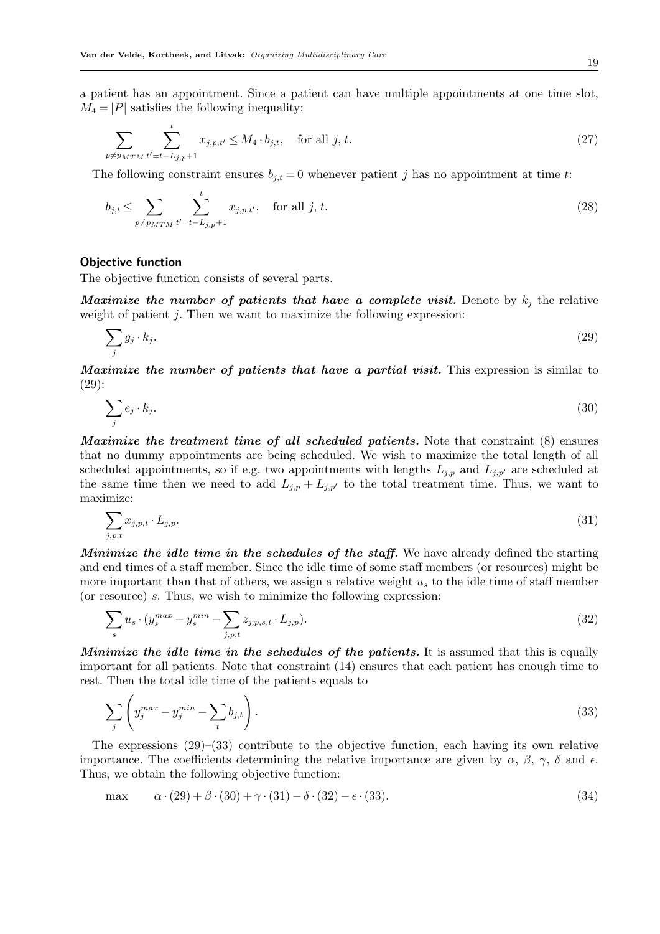a patient has an appointment. Since a patient can have multiple appointments at one time slot,  $M_4 = |P|$  satisfies the following inequality:

$$
\sum_{p \neq p_{MTM}} \sum_{t'=t-L_{j,p}+1}^{t} x_{j,p,t'} \leq M_4 \cdot b_{j,t}, \quad \text{for all } j, t. \tag{27}
$$

The following constraint ensures  $b_{j,t} = 0$  whenever patient j has no appointment at time t:

$$
b_{j,t} \le \sum_{p \ne p_{MTM}} \sum_{t'=t-L_{j,p}+1}^{t} x_{j,p,t'}, \quad \text{for all } j, t.
$$
 (28)

## Objective function

The objective function consists of several parts.

Maximize the number of patients that have a complete visit. Denote by  $k_i$ , the relative weight of patient  $j$ . Then we want to maximize the following expression:

$$
\sum_{j} g_j \cdot k_j. \tag{29}
$$

Maximize the number of patients that have a partial visit. This expression is similar to (29):

$$
\sum_{j} e_j \cdot k_j. \tag{30}
$$

Maximize the treatment time of all scheduled patients. Note that constraint (8) ensures that no dummy appointments are being scheduled. We wish to maximize the total length of all scheduled appointments, so if e.g. two appointments with lengths  $L_{j,p}$  and  $L_{j,p'}$  are scheduled at the same time then we need to add  $L_{j,p} + L_{j,p'}$  to the total treatment time. Thus, we want to maximize:

$$
\sum_{j,p,t} x_{j,p,t} \cdot L_{j,p}.\tag{31}
$$

Minimize the idle time in the schedules of the staff. We have already defined the starting and end times of a staff member. Since the idle time of some staff members (or resources) might be more important than that of others, we assign a relative weight  $u<sub>s</sub>$  to the idle time of staff member (or resource) s. Thus, we wish to minimize the following expression:

$$
\sum_{s} u_s \cdot (y_s^{max} - y_s^{min} - \sum_{j,p,t} z_{j,p,s,t} \cdot L_{j,p}).
$$
\n(32)

Minimize the idle time in the schedules of the patients. It is assumed that this is equally important for all patients. Note that constraint (14) ensures that each patient has enough time to rest. Then the total idle time of the patients equals to

$$
\sum_{j} \left( y_j^{max} - y_j^{min} - \sum_t b_{j,t} \right). \tag{33}
$$

The expressions  $(29)$ – $(33)$  contribute to the objective function, each having its own relative importance. The coefficients determining the relative importance are given by  $\alpha$ ,  $\beta$ ,  $\gamma$ ,  $\delta$  and  $\epsilon$ . Thus, we obtain the following objective function:

$$
\max \qquad \alpha \cdot (29) + \beta \cdot (30) + \gamma \cdot (31) - \delta \cdot (32) - \epsilon \cdot (33). \tag{34}
$$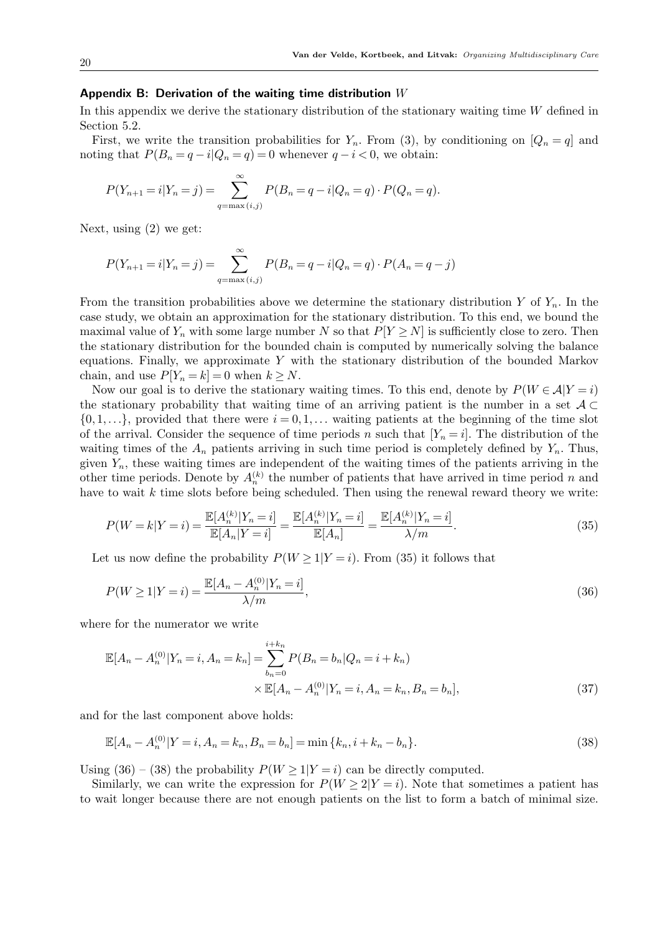#### Appendix B: Derivation of the waiting time distribution  $W$

In this appendix we derive the stationary distribution of the stationary waiting time  $W$  defined in Section 5.2.

First, we write the transition probabilities for  $Y_n$ . From (3), by conditioning on  $[Q_n = q]$  and noting that  $P(B_n = q - i | Q_n = q) = 0$  whenever  $q - i < 0$ , we obtain:

$$
P(Y_{n+1} = i | Y_n = j) = \sum_{q = \max(i,j)}^{\infty} P(B_n = q - i | Q_n = q) \cdot P(Q_n = q).
$$

Next, using (2) we get:

$$
P(Y_{n+1} = i | Y_n = j) = \sum_{q = \max(i,j)}^{\infty} P(B_n = q - i | Q_n = q) \cdot P(A_n = q - j)
$$

From the transition probabilities above we determine the stationary distribution Y of  $Y_n$ . In the case study, we obtain an approximation for the stationary distribution. To this end, we bound the maximal value of  $Y_n$  with some large number N so that  $P[Y \geq N]$  is sufficiently close to zero. Then the stationary distribution for the bounded chain is computed by numerically solving the balance equations. Finally, we approximate Y with the stationary distribution of the bounded Markov chain, and use  $P[Y_n = k] = 0$  when  $k \geq N$ .

Now our goal is to derive the stationary waiting times. To this end, denote by  $P(W \in \mathcal{A}|Y = i)$ the stationary probability that waiting time of an arriving patient is the number in a set  $\mathcal{A} \subset$  $\{0, 1, \ldots\}$ , provided that there were  $i = 0, 1, \ldots$  waiting patients at the beginning of the time slot of the arrival. Consider the sequence of time periods n such that  $[Y_n = i]$ . The distribution of the waiting times of the  $A_n$  patients arriving in such time period is completely defined by  $Y_n$ . Thus, given  $Y_n$ , these waiting times are independent of the waiting times of the patients arriving in the other time periods. Denote by  $A_n^{(k)}$  the number of patients that have arrived in time period n and have to wait  $k$  time slots before being scheduled. Then using the renewal reward theory we write:

$$
P(W=k|Y=i) = \frac{\mathbb{E}[A_n^{(k)}|Y_n=i]}{\mathbb{E}[A_n|Y=i]} = \frac{\mathbb{E}[A_n^{(k)}|Y_n=i]}{\mathbb{E}[A_n]} = \frac{\mathbb{E}[A_n^{(k)}|Y_n=i]}{\lambda/m}.
$$
\n(35)

Let us now define the probability  $P(W \geq 1 | Y = i)$ . From (35) it follows that

$$
P(W \ge 1 | Y = i) = \frac{\mathbb{E}[A_n - A_n^{(0)} | Y_n = i]}{\lambda / m},
$$
\n(36)

where for the numerator we write

$$
\mathbb{E}[A_n - A_n^{(0)} | Y_n = i, A_n = k_n] = \sum_{b_n=0}^{i+k_n} P(B_n = b_n | Q_n = i + k_n)
$$
  
 
$$
\times \mathbb{E}[A_n - A_n^{(0)} | Y_n = i, A_n = k_n, B_n = b_n],
$$
 (37)

and for the last component above holds:

$$
\mathbb{E}[A_n - A_n^{(0)}|Y = i, A_n = k_n, B_n = b_n] = \min\{k_n, i + k_n - b_n\}.
$$
\n(38)

Using (36) – (38) the probability  $P(W \ge 1 | Y = i)$  can be directly computed.

Similarly, we can write the expression for  $P(W \ge 2|Y = i)$ . Note that sometimes a patient has to wait longer because there are not enough patients on the list to form a batch of minimal size.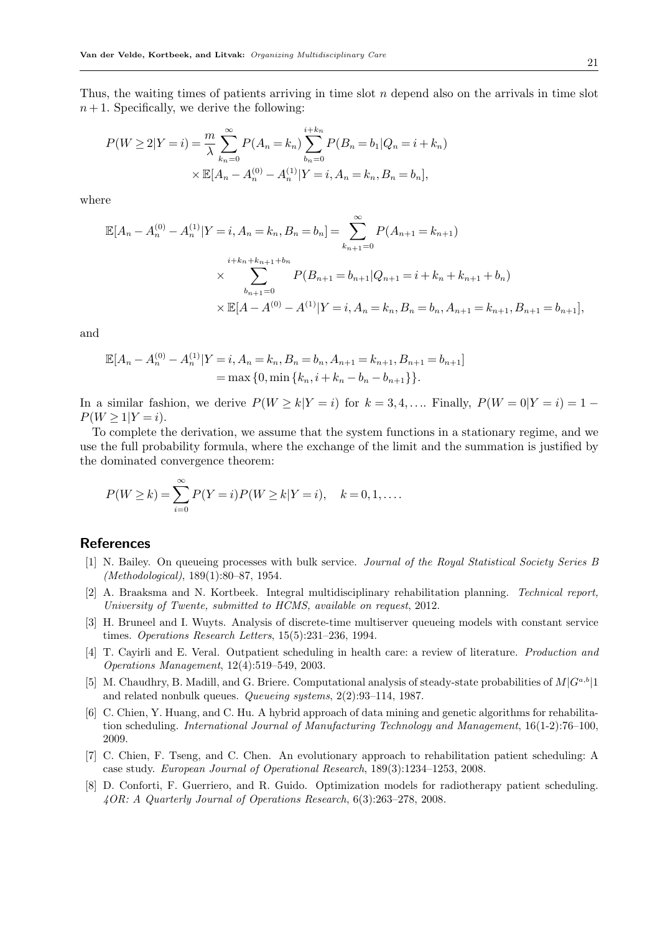Thus, the waiting times of patients arriving in time slot  $n$  depend also on the arrivals in time slot  $n+1$ . Specifically, we derive the following:

$$
P(W \ge 2|Y = i) = \frac{m}{\lambda} \sum_{k_n=0}^{\infty} P(A_n = k_n) \sum_{b_n=0}^{i+k_n} P(B_n = b_1 | Q_n = i + k_n)
$$
  
 
$$
\times \mathbb{E}[A_n - A_n^{(0)} - A_n^{(1)} | Y = i, A_n = k_n, B_n = b_n],
$$

where

$$
\mathbb{E}[A_n - A_n^{(0)} - A_n^{(1)} | Y = i, A_n = k_n, B_n = b_n] = \sum_{k_{n+1}=0}^{\infty} P(A_{n+1} = k_{n+1})
$$
  

$$
\times \sum_{b_{n+1}=0}^{i+k_n+k_{n+1}+b_n} P(B_{n+1} = b_{n+1} | Q_{n+1} = i + k_n + k_{n+1} + b_n)
$$
  

$$
\times \mathbb{E}[A - A^{(0)} - A^{(1)} | Y = i, A_n = k_n, B_n = b_n, A_{n+1} = k_{n+1}, B_{n+1} = b_{n+1}],
$$

and

$$
\mathbb{E}[A_n - A_n^{(0)} - A_n^{(1)} | Y = i, A_n = k_n, B_n = b_n, A_{n+1} = k_{n+1}, B_{n+1} = b_{n+1}]
$$
  
= max {0, min {k<sub>n</sub>, i + k<sub>n</sub> - b<sub>n</sub> - b<sub>n+1</sub>}}.

In a similar fashion, we derive  $P(W \ge k | Y = i)$  for  $k = 3, 4, \dots$  Finally,  $P(W = 0 | Y = i) = 1 P(W \ge 1 | Y = i).$ 

To complete the derivation, we assume that the system functions in a stationary regime, and we use the full probability formula, where the exchange of the limit and the summation is justified by the dominated convergence theorem:

$$
P(W \ge k) = \sum_{i=0}^{\infty} P(Y = i) P(W \ge k | Y = i), \quad k = 0, 1, \dots
$$

# References

- [1] N. Bailey. On queueing processes with bulk service. *Journal of the Royal Statistical Society Series B (Methodological)*, 189(1):80–87, 1954.
- [2] A. Braaksma and N. Kortbeek. Integral multidisciplinary rehabilitation planning. *Technical report, University of Twente, submitted to HCMS, available on request*, 2012.
- [3] H. Bruneel and I. Wuyts. Analysis of discrete-time multiserver queueing models with constant service times. *Operations Research Letters*, 15(5):231–236, 1994.
- [4] T. Cayirli and E. Veral. Outpatient scheduling in health care: a review of literature. *Production and Operations Management*, 12(4):519–549, 2003.
- [5] M. Chaudhry, B. Madill, and G. Briere. Computational analysis of steady-state probabilities of  $M|G^{a,b}|1$ and related nonbulk queues. *Queueing systems*, 2(2):93–114, 1987.
- [6] C. Chien, Y. Huang, and C. Hu. A hybrid approach of data mining and genetic algorithms for rehabilitation scheduling. *International Journal of Manufacturing Technology and Management*, 16(1-2):76–100, 2009.
- [7] C. Chien, F. Tseng, and C. Chen. An evolutionary approach to rehabilitation patient scheduling: A case study. *European Journal of Operational Research*, 189(3):1234–1253, 2008.
- [8] D. Conforti, F. Guerriero, and R. Guido. Optimization models for radiotherapy patient scheduling. *4OR: A Quarterly Journal of Operations Research*, 6(3):263–278, 2008.